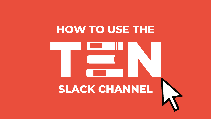# **HOW TO USE THE**



# **SLACK CHANNEL**







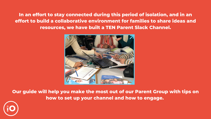**In an effort to stay connected during this period of isolation, and in an effort to build a collaborative environment for families to share ideas and resources, we have built a TEN Parent Slack Channel.**



**Our guide will help you make the most out of our Parent Group with tips on how to set up your channel and how to engage.**

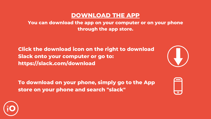# **DOWNLOAD THE APP**

**You can download the app on your computer or on your phone through the app store.**

**Click the download icon on the right to download Slack onto your computer or go to: https://slack.com/download**

**To download on your phone, simply go to the App store on your phone and search "slack"**





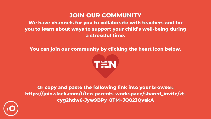## **JOIN OUR COMMUNITY We have channels for you to collaborate with teachers and for you to learn about ways to support your child's well-being during**

**a stressful time.**

**You can join our community by clicking the heart icon below.**



**Or copy and paste the following link into your browser: https://join.slack.com/t/ten-parents-workspace/shared\_invite/ztcyg2hdw6-Jyw9BPy\_0TM~JQ82JQvakA**

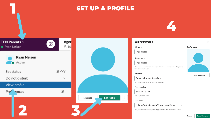## **SET UP A PROFILE**





### Edit your profile

#### **Full name**

Ryan Nelson

### Display name

### Ryan Nelson

This could be your first name, or a nickname - however you'd like people to refer to you in Slack.

### What I do

### **Communications Associate**

Let people know what you do at TEN Parents.

#### Phone number

508-332-8130

Enter a phone number.

#### Time zone

(UTC-07:00) Mountain Time (US and Cana...

Your current time zone. Used to send summary and notification emails, the contract of the contract of the

### Profile photo



 $\times$ 

Upload an Image

Cancel

 $\checkmark$ 

**Save Changes**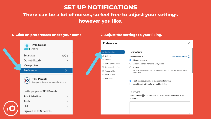# **SET UP NOTIFICATIONS There can be a lot of noises, so feel free to adjust your settings**

# **however you like.**

### **1. Click on preferences under your name 2. Adjust the settings to your liking.**







### Notifications

Notify me about...

All new messages

 $\bigcirc$  Direct messages, mentions & keywords

 $\bigcirc$  Nothing

You won't receive desktop notifications from Slack, but you will still see badges within Slack.

 $\times$ 

About notifications (?)

 $\blacktriangleright$  Notify me about replies to threads I'm following

 $\Box$  Use different settings for my mobile devices

#### My keywords

Show a badge  $(1)$  in my channel list when someone uses one of my keywords: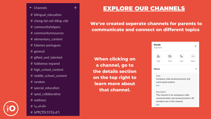- $\bullet$  Channels
- # bilingual\_education
- # chúng-tôi-nói-tiếng-việt

 $+$ 

- # communityhelpers
- # communityresources
- # elementary\_content
- # falamos-portugues
- # general
- # gifted\_and\_talented
- # hablamos-espanol
- # high\_school\_content
- # middle\_school\_content
- $#$  random
- # special\_education
- # sped\_collaborative
- # wellness
- نتكلمالعربية #
- # አማርኛአንናንራስን

# EXPLORE OUR CHANNELS

### We've created seperate channels for parents to communicate and connect on different topics

**When clicking on** a channel, go to the details section on the top right to learn more about that channel.



| <b>Details</b><br># general                                                                                                       |      |      |      |
|-----------------------------------------------------------------------------------------------------------------------------------|------|------|------|
| 24                                                                                                                                | Ξā   |      |      |
| Add                                                                                                                               | Find | Call | More |
| About                                                                                                                             |      |      |      |
| Topic<br>Company-wide announcements and<br>work-based matters<br>Edit                                                             |      |      |      |
| Description<br>This channel is for workspace-wide<br>communication and announcements. All<br>members are in this channel.<br>Edit |      |      |      |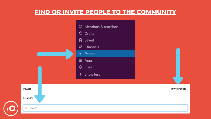## **FIND OR INVITE PEOPLE TO THE COMMUNITY**